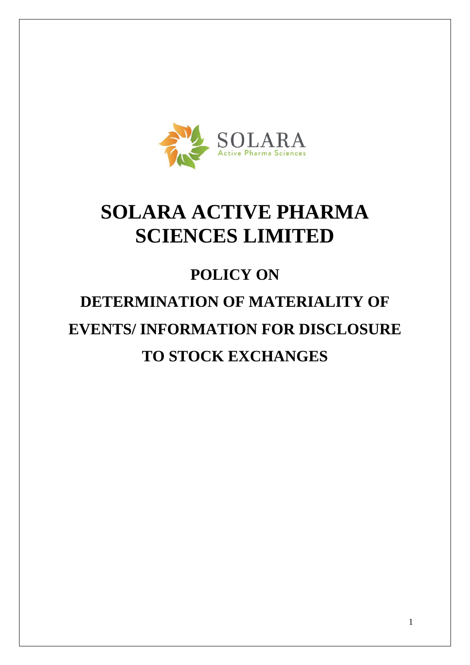

## **SOLARA ACTIVE PHARMA SCIENCES LIMITED**

# **POLICY ON DETERMINATION OF MATERIALITY OF EVENTS/ INFORMATION FOR DISCLOSURE TO STOCK EXCHANGES**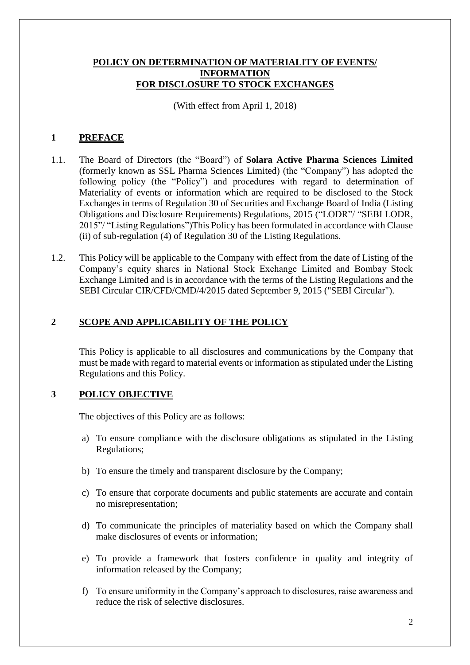#### **POLICY ON DETERMINATION OF MATERIALITY OF EVENTS/ INFORMATION FOR DISCLOSURE TO STOCK EXCHANGES**

(With effect from April 1, 2018)

#### **1 PREFACE**

- 1.1. The Board of Directors (the "Board") of **Solara Active Pharma Sciences Limited** (formerly known as SSL Pharma Sciences Limited) (the "Company") has adopted the following policy (the "Policy") and procedures with regard to determination of Materiality of events or information which are required to be disclosed to the Stock Exchanges in terms of Regulation 30 of Securities and Exchange Board of India (Listing Obligations and Disclosure Requirements) Regulations, 2015 ("LODR"/ "SEBI LODR, 2015"/ "Listing Regulations")This Policy has been formulated in accordance with Clause (ii) of sub-regulation (4) of Regulation 30 of the Listing Regulations.
- 1.2. This Policy will be applicable to the Company with effect from the date of Listing of the Company's equity shares in National Stock Exchange Limited and Bombay Stock Exchange Limited and is in accordance with the terms of the Listing Regulations and the SEBI Circular CIR/CFD/CMD/4/2015 dated September 9, 2015 ("SEBI Circular").

#### **2 SCOPE AND APPLICABILITY OF THE POLICY**

This Policy is applicable to all disclosures and communications by the Company that must be made with regard to material events or information as stipulated under the Listing Regulations and this Policy.

#### **3 POLICY OBJECTIVE**

The objectives of this Policy are as follows:

- a) To ensure compliance with the disclosure obligations as stipulated in the Listing Regulations;
- b) To ensure the timely and transparent disclosure by the Company;
- c) To ensure that corporate documents and public statements are accurate and contain no misrepresentation;
- d) To communicate the principles of materiality based on which the Company shall make disclosures of events or information;
- e) To provide a framework that fosters confidence in quality and integrity of information released by the Company;
- f) To ensure uniformity in the Company's approach to disclosures, raise awareness and reduce the risk of selective disclosures.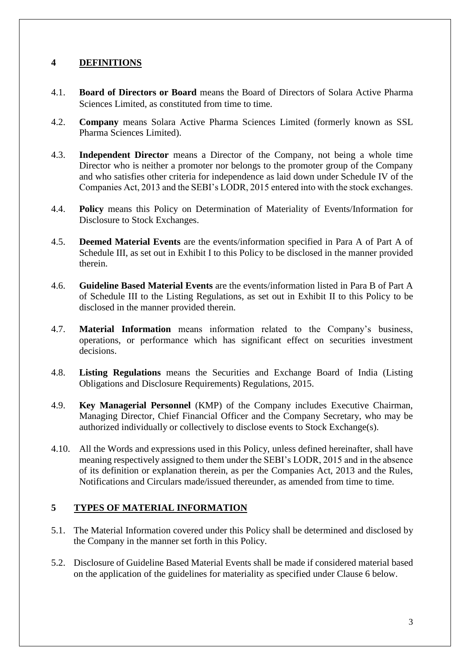#### **4 DEFINITIONS**

- 4.1. **Board of Directors or Board** means the Board of Directors of Solara Active Pharma Sciences Limited, as constituted from time to time.
- 4.2. **Company** means Solara Active Pharma Sciences Limited (formerly known as SSL Pharma Sciences Limited).
- 4.3. **Independent Director** means a Director of the Company, not being a whole time Director who is neither a promoter nor belongs to the promoter group of the Company and who satisfies other criteria for independence as laid down under Schedule IV of the Companies Act, 2013 and the SEBI's LODR, 2015 entered into with the stock exchanges.
- 4.4. **Policy** means this Policy on Determination of Materiality of Events/Information for Disclosure to Stock Exchanges.
- 4.5. **Deemed Material Events** are the events/information specified in Para A of Part A of Schedule III, as set out in Exhibit I to this Policy to be disclosed in the manner provided therein.
- 4.6. **Guideline Based Material Events** are the events/information listed in Para B of Part A of Schedule III to the Listing Regulations, as set out in Exhibit II to this Policy to be disclosed in the manner provided therein.
- 4.7. **Material Information** means information related to the Company's business, operations, or performance which has significant effect on securities investment decisions.
- 4.8. **Listing Regulations** means the Securities and Exchange Board of India (Listing Obligations and Disclosure Requirements) Regulations, 2015.
- 4.9. **Key Managerial Personnel** (KMP) of the Company includes Executive Chairman, Managing Director, Chief Financial Officer and the Company Secretary, who may be authorized individually or collectively to disclose events to Stock Exchange(s).
- 4.10. All the Words and expressions used in this Policy, unless defined hereinafter, shall have meaning respectively assigned to them under the SEBI's LODR, 2015 and in the absence of its definition or explanation therein, as per the Companies Act, 2013 and the Rules, Notifications and Circulars made/issued thereunder, as amended from time to time.

#### **5 TYPES OF MATERIAL INFORMATION**

- 5.1. The Material Information covered under this Policy shall be determined and disclosed by the Company in the manner set forth in this Policy.
- 5.2. Disclosure of Guideline Based Material Events shall be made if considered material based on the application of the guidelines for materiality as specified under Clause 6 below.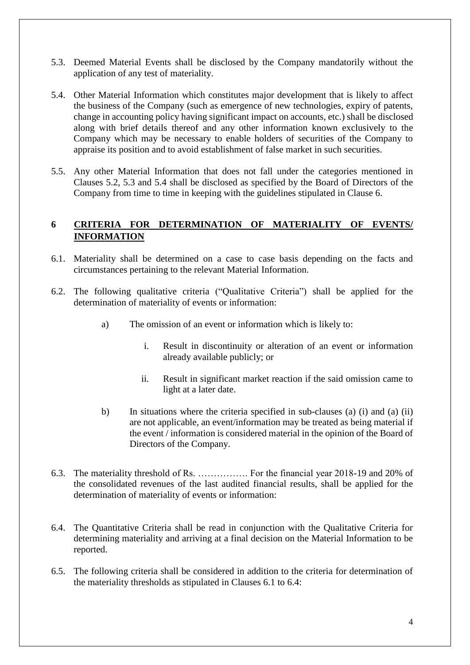- 5.3. Deemed Material Events shall be disclosed by the Company mandatorily without the application of any test of materiality.
- 5.4. Other Material Information which constitutes major development that is likely to affect the business of the Company (such as emergence of new technologies, expiry of patents, change in accounting policy having significant impact on accounts, etc.) shall be disclosed along with brief details thereof and any other information known exclusively to the Company which may be necessary to enable holders of securities of the Company to appraise its position and to avoid establishment of false market in such securities.
- 5.5. Any other Material Information that does not fall under the categories mentioned in Clauses 5.2, 5.3 and 5.4 shall be disclosed as specified by the Board of Directors of the Company from time to time in keeping with the guidelines stipulated in Clause 6.

#### **6 CRITERIA FOR DETERMINATION OF MATERIALITY OF EVENTS/ INFORMATION**

- 6.1. Materiality shall be determined on a case to case basis depending on the facts and circumstances pertaining to the relevant Material Information.
- 6.2. The following qualitative criteria ("Qualitative Criteria") shall be applied for the determination of materiality of events or information:
	- a) The omission of an event or information which is likely to:
		- i. Result in discontinuity or alteration of an event or information already available publicly; or
		- ii. Result in significant market reaction if the said omission came to light at a later date.
	- b) In situations where the criteria specified in sub-clauses (a) (i) and (a) (ii) are not applicable, an event/information may be treated as being material if the event / information is considered material in the opinion of the Board of Directors of the Company.
- 6.3. The materiality threshold of Rs. ……………. For the financial year 2018-19 and 20% of the consolidated revenues of the last audited financial results, shall be applied for the determination of materiality of events or information:
- 6.4. The Quantitative Criteria shall be read in conjunction with the Qualitative Criteria for determining materiality and arriving at a final decision on the Material Information to be reported.
- 6.5. The following criteria shall be considered in addition to the criteria for determination of the materiality thresholds as stipulated in Clauses 6.1 to 6.4: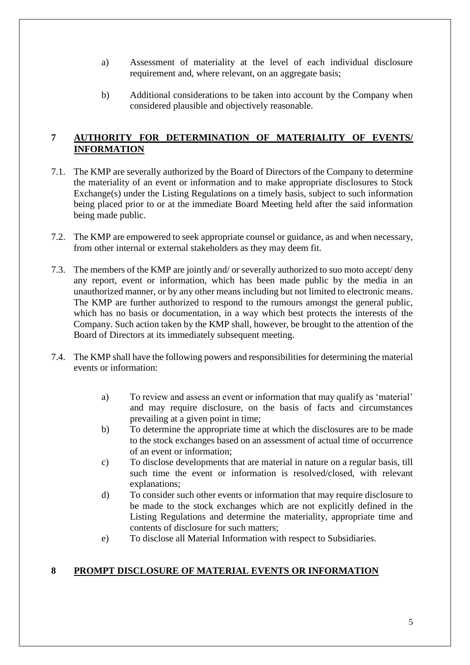- a) Assessment of materiality at the level of each individual disclosure requirement and, where relevant, on an aggregate basis;
- b) Additional considerations to be taken into account by the Company when considered plausible and objectively reasonable.

#### **7 AUTHORITY FOR DETERMINATION OF MATERIALITY OF EVENTS/ INFORMATION**

- 7.1. The KMP are severally authorized by the Board of Directors of the Company to determine the materiality of an event or information and to make appropriate disclosures to Stock Exchange(s) under the Listing Regulations on a timely basis, subject to such information being placed prior to or at the immediate Board Meeting held after the said information being made public.
- 7.2. The KMP are empowered to seek appropriate counsel or guidance, as and when necessary, from other internal or external stakeholders as they may deem fit.
- 7.3. The members of the KMP are jointly and/ or severally authorized to suo moto accept/ deny any report, event or information, which has been made public by the media in an unauthorized manner, or by any other means including but not limited to electronic means. The KMP are further authorized to respond to the rumours amongst the general public, which has no basis or documentation, in a way which best protects the interests of the Company. Such action taken by the KMP shall, however, be brought to the attention of the Board of Directors at its immediately subsequent meeting.
- 7.4. The KMP shall have the following powers and responsibilities for determining the material events or information:
	- a) To review and assess an event or information that may qualify as 'material' and may require disclosure, on the basis of facts and circumstances prevailing at a given point in time;
	- b) To determine the appropriate time at which the disclosures are to be made to the stock exchanges based on an assessment of actual time of occurrence of an event or information;
	- c) To disclose developments that are material in nature on a regular basis, till such time the event or information is resolved/closed, with relevant explanations;
	- d) To consider such other events or information that may require disclosure to be made to the stock exchanges which are not explicitly defined in the Listing Regulations and determine the materiality, appropriate time and contents of disclosure for such matters;
	- e) To disclose all Material Information with respect to Subsidiaries.

#### **8 PROMPT DISCLOSURE OF MATERIAL EVENTS OR INFORMATION**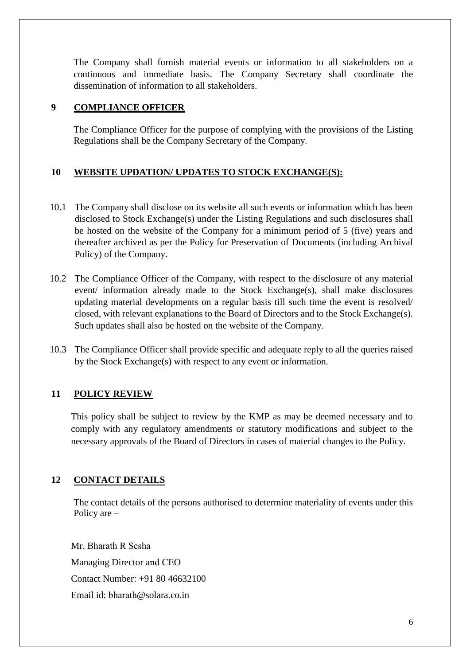The Company shall furnish material events or information to all stakeholders on a continuous and immediate basis. The Company Secretary shall coordinate the dissemination of information to all stakeholders.

#### **9 COMPLIANCE OFFICER**

The Compliance Officer for the purpose of complying with the provisions of the Listing Regulations shall be the Company Secretary of the Company.

### **10 WEBSITE UPDATION/ UPDATES TO STOCK EXCHANGE(S):**

- 10.1 The Company shall disclose on its website all such events or information which has been disclosed to Stock Exchange(s) under the Listing Regulations and such disclosures shall be hosted on the website of the Company for a minimum period of 5 (five) years and thereafter archived as per the Policy for Preservation of Documents (including Archival Policy) of the Company.
- 10.2 The Compliance Officer of the Company, with respect to the disclosure of any material event/ information already made to the Stock Exchange(s), shall make disclosures updating material developments on a regular basis till such time the event is resolved/ closed, with relevant explanations to the Board of Directors and to the Stock Exchange(s). Such updates shall also be hosted on the website of the Company.
- 10.3 The Compliance Officer shall provide specific and adequate reply to all the queries raised by the Stock Exchange(s) with respect to any event or information.

#### **11 POLICY REVIEW**

This policy shall be subject to review by the KMP as may be deemed necessary and to comply with any regulatory amendments or statutory modifications and subject to the necessary approvals of the Board of Directors in cases of material changes to the Policy.

#### **12 CONTACT DETAILS**

The contact details of the persons authorised to determine materiality of events under this Policy are –

Mr. Bharath R Sesha Managing Director and CEO Contact Number: +91 80 46632100 Email id: bharath@solara.co.in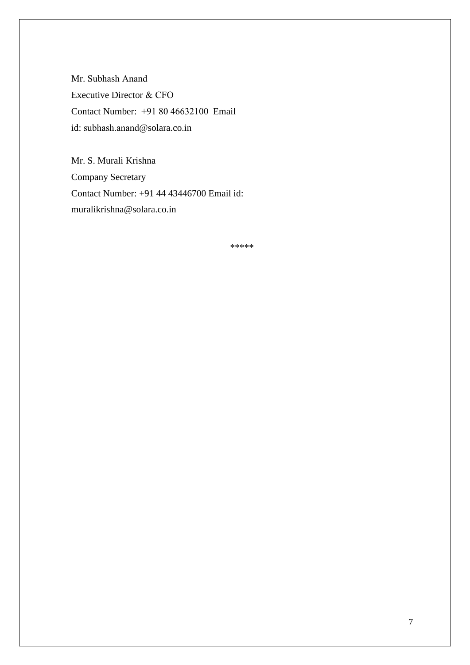Mr. Subhash Anand Executive Director & CFO Contact Number: +91 80 46632100 Email id: subhash.anand@solara.co.in

Mr. S. Murali Krishna Company Secretary Contact Number: +91 44 43446700 Email id: muralikrishna@solara.co.in

\*\*\*\*\*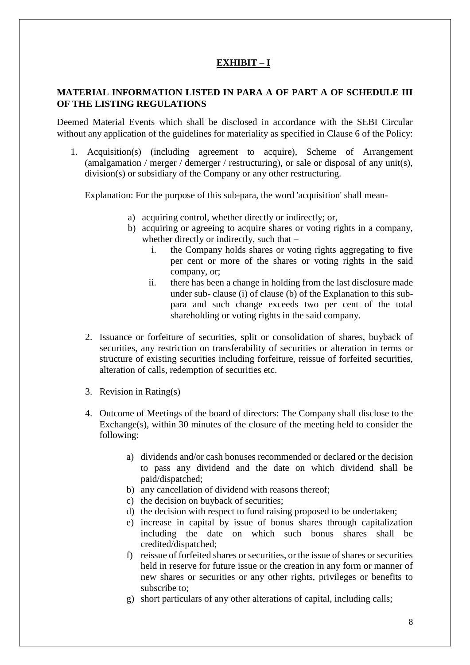### **EXHIBIT – I**

#### **MATERIAL INFORMATION LISTED IN PARA A OF PART A OF SCHEDULE III OF THE LISTING REGULATIONS**

Deemed Material Events which shall be disclosed in accordance with the SEBI Circular without any application of the guidelines for materiality as specified in Clause 6 of the Policy:

1. Acquisition(s) (including agreement to acquire), Scheme of Arrangement (amalgamation / merger / demerger / restructuring), or sale or disposal of any unit(s), division(s) or subsidiary of the Company or any other restructuring.

Explanation: For the purpose of this sub-para, the word 'acquisition' shall mean-

- a) acquiring control, whether directly or indirectly; or,
- b) acquiring or agreeing to acquire shares or voting rights in a company, whether directly or indirectly, such that –
	- i. the Company holds shares or voting rights aggregating to five per cent or more of the shares or voting rights in the said company, or;
	- ii. there has been a change in holding from the last disclosure made under sub- clause (i) of clause (b) of the Explanation to this subpara and such change exceeds two per cent of the total shareholding or voting rights in the said company.
- 2. Issuance or forfeiture of securities, split or consolidation of shares, buyback of securities, any restriction on transferability of securities or alteration in terms or structure of existing securities including forfeiture, reissue of forfeited securities, alteration of calls, redemption of securities etc.
- 3. Revision in Rating(s)
- 4. Outcome of Meetings of the board of directors: The Company shall disclose to the Exchange(s), within 30 minutes of the closure of the meeting held to consider the following:
	- a) dividends and/or cash bonuses recommended or declared or the decision to pass any dividend and the date on which dividend shall be paid/dispatched;
	- b) any cancellation of dividend with reasons thereof;
	- c) the decision on buyback of securities;
	- d) the decision with respect to fund raising proposed to be undertaken;
	- e) increase in capital by issue of bonus shares through capitalization including the date on which such bonus shares shall be credited/dispatched;
	- f) reissue of forfeited shares or securities, or the issue of shares or securities held in reserve for future issue or the creation in any form or manner of new shares or securities or any other rights, privileges or benefits to subscribe to;
	- g) short particulars of any other alterations of capital, including calls;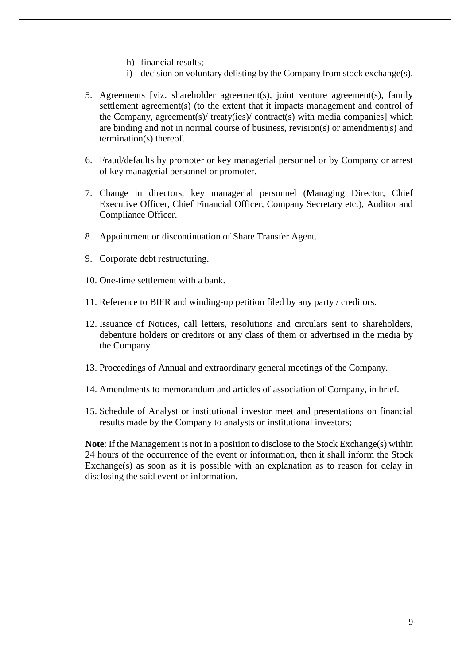- h) financial results;
- i) decision on voluntary delisting by the Company from stock exchange(s).
- 5. Agreements [viz. shareholder agreement(s), joint venture agreement(s), family settlement agreement(s) (to the extent that it impacts management and control of the Company, agreement(s)/ treaty(ies)/ contract(s) with media companies] which are binding and not in normal course of business, revision(s) or amendment(s) and termination(s) thereof.
- 6. Fraud/defaults by promoter or key managerial personnel or by Company or arrest of key managerial personnel or promoter.
- 7. Change in directors, key managerial personnel (Managing Director, Chief Executive Officer, Chief Financial Officer, Company Secretary etc.), Auditor and Compliance Officer.
- 8. Appointment or discontinuation of Share Transfer Agent.
- 9. Corporate debt restructuring.
- 10. One-time settlement with a bank.
- 11. Reference to BIFR and winding-up petition filed by any party / creditors.
- 12. Issuance of Notices, call letters, resolutions and circulars sent to shareholders, debenture holders or creditors or any class of them or advertised in the media by the Company.
- 13. Proceedings of Annual and extraordinary general meetings of the Company.
- 14. Amendments to memorandum and articles of association of Company, in brief.
- 15. Schedule of Analyst or institutional investor meet and presentations on financial results made by the Company to analysts or institutional investors;

**Note**: If the Management is not in a position to disclose to the Stock Exchange(s) within 24 hours of the occurrence of the event or information, then it shall inform the Stock Exchange(s) as soon as it is possible with an explanation as to reason for delay in disclosing the said event or information.